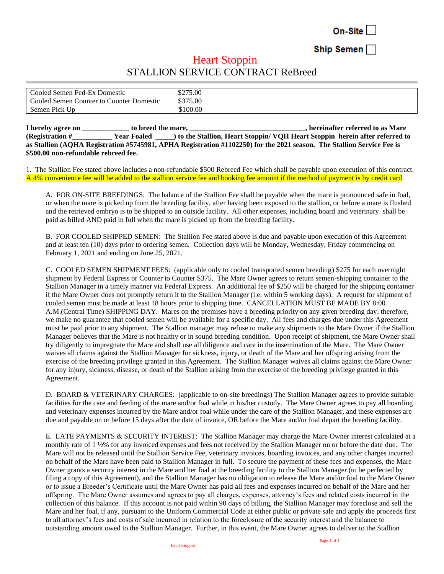On-Site

Ship Semen

## **Heart Stoppin** STALLION SERVICE CONTRACT ReBreed

| Cooled Semen Fed-Ex Domestic             | \$275.00 |
|------------------------------------------|----------|
| Cooled Semen Counter to Counter Domestic | \$375.00 |
| Semen Pick Up                            | \$100.00 |

**I** hereby agree on to breed the mare, the mare is a substitute of the mare, the set of the mare  $\mathbf{r}$ , hereinafter referred to as Mare  $\mathbf{r}$ **(Registration #\_\_\_\_\_\_\_\_\_\_\_ Year Foaled \_\_\_\_\_) to the Stallion, Heart Stoppin/ VQH Heart Stoppin herein after referred to as Stallion (AQHA Registration #5745981, APHA Registration #1102250) for the 2021 season. The Stallion Service Fee is \$500.00 non-refundable rebreed fee.**

1. The Stallion Fee stated above includes a non-refundable \$500 Rebreed Fee which shall be payable upon execution of this contract. A 4% convenience fee will be added to the stallion service fee and booking fee amount if the method of payment is by credit card.

A. FOR ON-SITE BREEDINGS: The balance of the Stallion Fee shall be payable when the mare is pronounced safe in foal, or when the mare is picked up from the breeding facility, after having been exposed to the stallion, or before a mare is flushed and the retrieved embryo is to be shipped to an outside facility. All other expenses, including board and veterinary shall be paid as billed AND paid in full when the mare is picked up from the breeding facility.

B. FOR COOLED SHIPPED SEMEN: The Stallion Fee stated above is due and payable upon execution of this Agreement and at least ten (10) days prior to ordering semen. Collection days will be Monday, Wednesday, Friday commencing on February 1, 2021 and ending on June 25, 2021.

C. COOLED SEMEN SHIPMENT FEES: (applicable only to cooled transported semen breeding) \$275 for each overnight shipment by Federal Express or Counter to Counter \$375. The Mare Owner agrees to return semen-shipping container to the Stallion Manager in a timely manner via Federal Express. An additional fee of \$250 will be charged for the shipping container if the Mare Owner does not promptly return it to the Stallion Manager (i.e. within 5 working days). A request for shipment of cooled semen must be made at least 18 hours prior to shipping time. CANCELLATION MUST BE MADE BY 8:00 A.M.(Central Time) SHIPPING DAY. Mares on the premises have a breeding priority on any given breeding day; therefore, we make no guarantee that cooled semen will be available for a specific day. All fees and charges due under this Agreement must be paid prior to any shipment. The Stallion manager may refuse to make any shipments to the Mare Owner if the Stallion Manager believes that the Mare is not healthy or in sound breeding condition. Upon receipt of shipment, the Mare Owner shall try diligently to impregnate the Mare and shall use all diligence and care in the insemination of the Mare. The Mare Owner waives all claims against the Stallion Manager for sickness, injury, or death of the Mare and her offspring arising from the exercise of the breeding privilege granted in this Agreement. The Stallion Manager waives all claims against the Mare Owner for any injury, sickness, disease, or death of the Stallion arising from the exercise of the breeding privilege granted in this Agreement.

D. BOARD & VETERINARY CHARGES: (applicable to on-site breedings) The Stallion Manager agrees to provide suitable facilities for the care and feeding of the mare and/or foal while in his/her custody. The Mare Owner agrees to pay all boarding and veterinary expenses incurred by the Mare and/or foal while under the care of the Stallion Manager, and these expenses are due and payable on or before 15 days after the date of invoice, OR before the Mare and/or foal depart the breeding facility.

E. LATE PAYMENTS & SECURITY INTEREST: The Stallion Manager may charge the Mare Owner interest calculated at a monthly rate of 1 ½% for any invoiced expenses and fees not received by the Stallion Manager on or before the date due. The Mare will not be released until the Stallion Service Fee, veterinary invoices, boarding invoices, and any other charges incurred on behalf of the Mare have been paid to Stallion Manager in full. To secure the payment of these fees and expenses, the Mare Owner grants a security interest in the Mare and her foal at the breeding facility to the Stallion Manager (to be perfected by filing a copy of this Agreement), and the Stallion Manager has no obligation to release the Mare and/or foal to the Mare Owner or to issue a Breeder's Certificate until the Mare Owner has paid all fees and expenses incurred on behalf of the Mare and her offspring. The Mare Owner assumes and agrees to pay all charges, expenses, attorney's fees and related costs incurred in the collection of this balance. If this account is not paid within 90 days of billing, the Stallion Manager may foreclose and sell the Mare and her foal, if any, pursuant to the Uniform Commercial Code at either public or private sale and apply the proceeds first to all attorney's fees and costs of sale incurred in relation to the foreclosure of the security interest and the balance to outstanding amount owed to the Stallion Manager. Further, in this event, the Mare Owner agrees to deliver to the Stallion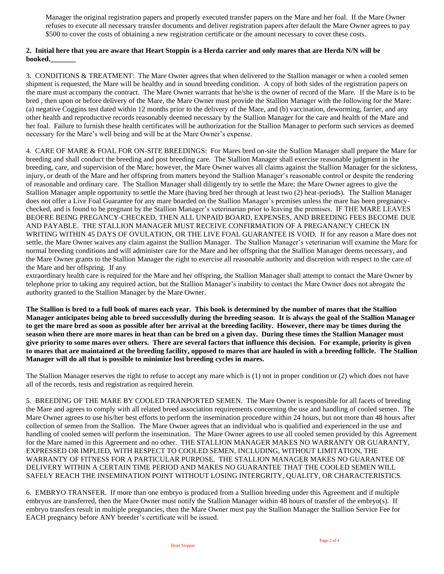Manager the original registration papers and properly executed transfer papers on the Mare and her foal. If the Mare Owner refuses to execute all necessary transfer documents and deliver registration papers after default the Mare Owner agrees to pay \$500 to cover the costs of obtaining a new registration certificate or the amount necessary to cover these costs.

## **2. Initial here that you are aware that Heart Stoppin is a Herda carrier and only mares that are Herda N/N will be booked.\_\_\_\_\_\_\_**

3. CONDITIONS & TREATMENT: The Mare Owner agrees that when delivered to the Stallion manager or when a cooled semen shipment is requested, the Mare will be healthy and in sound breeding condition. A copy of both sides of the registration papers on the mare must accompany the contract. The Mare Owner warrants that he/she is the owner of record of the Mare. If the Mare is to be bred , then upon or before delivery of the Mare, the Mare Owner must provide the Stallion Manager with the following for the Mare: (a) negative Coggins test dated within 12 months prior to the delivery of the Mare, and (b) vaccination, deworming, farrier, and any other health and reproductive records reasonably deemed necessary by the Stallion Manager for the care and health of the Mare and her foal. Failure to furnish these health certificates will be authorization for the Stallion Manager to perform such services as deemed necessary for the Mare's well being and will be at the Mare Owner's expense.

4. CARE OF MARE & FOAL FOR ON-SITE BREEDINGS: For Mares bred on-site the Stallion Manager shall prepare the Mare for breeding and shall conduct the breeding and post breeding care. The Stallion Manager shall exercise reasonable judgment in the breeding, care, and supervision of the Mare; however, the Mare Owner waives all claims against the Stallion Manager for the sickness, injury, or death of the Mare and her offspring from matters beyond the Stallion Manager's reasonable control or despite the rendering of reasonable and ordinary care. The Stallion Manager shall diligently try to settle the Mare; the Mare Owner agrees to give the Stallion Manager ample opportunity to settle the Mare (having bred her through at least two (2) heat-periods). The Stallion Manager does not offer a Live Foal Guarantee for any mare boarded on the Stallion Manager's premises unless the mare has been pregnancychecked, and is found to be pregnant by the Stallion Manager's veterinarian prior to leaving the premises. IF THE MARE LEAVES BEOFRE BEING PREGANCY-CHECKED, THEN ALL UNPAID BOARD, EXPENSES, AND BREEDING FEES BECOME DUE AND PAYABLE. THE STALLION MANAGER MUST RECEIVE CONFIRMATION OF A PREGANANCY CHECK IN WRITING WITHIN 45 DAYS OF OVULATION, OR THE LIVE FOAL GUARANTEE IS VOID. If for any reason a Mare does not settle, the Mare Owner waives any claim against the Stallion Manager. The Stallion Manager's veterinarian will examine the Mare for normal breeding conditions and will administer care for the Mare and her offspring that the Stallion Manager deems necessary, and the Mare Owner grants to the Stallion Manager the right to exercise all reasonable authority and discretion with respect to the care of the Mare and her offspring. If any

extraordinary health care is required for the Mare and her offspring, the Stallion Manager shall attempt to contact the Mare Owner by telephone prior to taking any required action, but the Stallion Manager's inability to contact the Mare Owner does not abrogate the authority granted to the Stallion Manager by the Mare Owner.

**The Stallion is bred to a full book of mares each year. This book is determined by the number of mares that the Stallion Manager anticipates being able to breed successfully during the breeding season. It is always the goal of the Stallion Manager to get the mare bred as soon as possible after her arrival at the breeding facility. However, there may be times during the season when there are more mares in heat than can be bred on a given day. During these times the Stallion Manager must give priority to some mares over others. There are several factors that influence this decision. For example, priority is given to mares that are maintained at the breeding facility, opposed to mares that are hauled in with a breeding follicle. The Stallion Manager will do all that is possible to minimize lost breeding cycles in mares.** 

The Stallion Manager reserves the right to refuse to accept any mare which is (1) not in proper condition or (2) which does not have all of the records, tests and registration as required herein.

5. BREEDING OF THE MARE BY COOLED TRANPORTED SEMEN. The Mare Owner is responsible for all facets of breeding the Mare and agrees to comply with all related breed association requirements concerning the use and handling of cooled semen. The Mare Owner agrees to use his/her best efforts to perform the insemination procedure within 24 hours, but not more than 48 hours after collection of semen from the Stallion. The Mare Owner agrees that an individual who is qualified and experienced in the use and handling of cooled semen will perform the insemination. The Mare Owner agrees to use all cooled semen provided by this Agreement for the Mare named in this Agreement and no other. THE STALLION MANAGER MAKES NO WARRANTY OR GUARANTY, EXPRESSED OR IMPLIED, WITH RESPECT TO COOLED SEMEN, INCLUDING, WITHOUT LIMITATION, THE WARRANTY OF FITNESS FOR A PARTICULAR PURPOSE. THE STALLION MANAGER MAKES NO GUARANTEE OF DELIVERY WITHIN A CERTAIN TIME PERIOD AND MAKES NO GUARANTEE THAT THE COOLED SEMEN WILL SAFELY REACH THE INSEMINATION POINT WITHOUT LOSING INTERGRITY, QUALITY, OR CHARACTERISTICS.

6. EMBRYO TRANSFER. If more than one embryo is produced from a Stallion breeding under this Agreement and if multiple embryos are transferred, then the Mare Owner must notify the Stallion Manager within 48 hours of transfer of the embryo(s). If embryo transfers result in multiple pregnancies, then the Mare Owner must pay the Stallion Manager the Stallion Service Fee for EACH pregnancy before ANY breeder's certificate will be issued.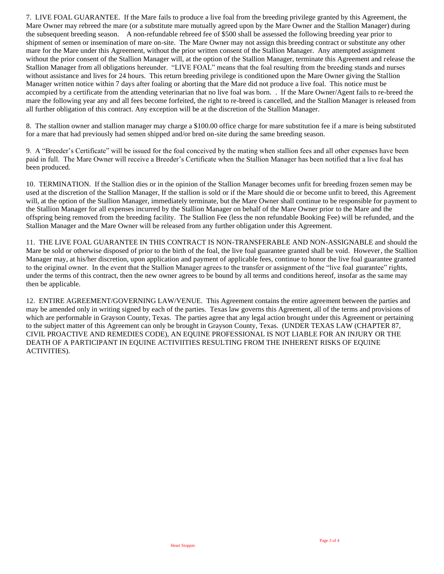7. LIVE FOAL GUARANTEE. If the Mare fails to produce a live foal from the breeding privilege granted by this Agreement, the Mare Owner may rebreed the mare (or a substitute mare mutually agreed upon by the Mare Owner and the Stallion Manager) during the subsequent breeding season. A non-refundable rebreed fee of \$500 shall be assessed the following breeding year prior to shipment of semen or insemination of mare on-site. The Mare Owner may not assign this breeding contract or substitute any other mare for the Mare under this Agreement, without the prior written consent of the Stallion Manager. Any attempted assignment without the prior consent of the Stallion Manager will, at the option of the Stallion Manager, terminate this Agreement and release the Stallion Manager from all obligations hereunder. "LIVE FOAL" means that the foal resulting from the breeding stands and nurses without assistance and lives for 24 hours. This return breeding privilege is conditioned upon the Mare Owner giving the Stallion Manager written notice within 7 days after foaling or aborting that the Mare did not produce a live foal. This notice must be accompied by a certificate from the attending veterinarian that no live foal was born. . If the Mare Owner/Agent fails to re-breed the mare the following year any and all fees become forfeited, the right to re-breed is cancelled, and the Stallion Manager is released from all further obligation of this contract. Any exception will be at the discretion of the Stallion Manager.

8. The stallion owner and stallion manager may charge a \$100.00 office charge for mare substitution fee if a mare is being substituted for a mare that had previously had semen shipped and/or bred on-site during the same breeding season.

9. A "Breeder's Certificate" will be issued for the foal conceived by the mating when stallion fees and all other expenses have been paid in full. The Mare Owner will receive a Breeder's Certificate when the Stallion Manager has been notified that a live foal has been produced.

10. TERMINATION. If the Stallion dies or in the opinion of the Stallion Manager becomes unfit for breeding frozen semen may be used at the discretion of the Stallion Manager, If the stallion is sold or if the Mare should die or become unfit to breed, this Agreement will, at the option of the Stallion Manager, immediately terminate, but the Mare Owner shall continue to be responsible for payment to the Stallion Manager for all expenses incurred by the Stallion Manager on behalf of the Mare Owner prior to the Mare and the offspring being removed from the breeding facility. The Stallion Fee (less the non refundable Booking Fee) will be refunded, and the Stallion Manager and the Mare Owner will be released from any further obligation under this Agreement.

11. THE LIVE FOAL GUARANTEE IN THIS CONTRACT IS NON-TRANSFERABLE AND NON-ASSIGNABLE and should the Mare be sold or otherwise disposed of prior to the birth of the foal, the live foal guarantee granted shall be void. However, the Stallion Manager may, at his/her discretion, upon application and payment of applicable fees, continue to honor the live foal guarantee granted to the original owner. In the event that the Stallion Manager agrees to the transfer or assignment of the "live foal guarantee" rights, under the terms of this contract, then the new owner agrees to be bound by all terms and conditions hereof, insofar as the same may then be applicable.

12. ENTIRE AGREEMENT/GOVERNING LAW/VENUE. This Agreement contains the entire agreement between the parties and may be amended only in writing signed by each of the parties. Texas law governs this Agreement, all of the terms and provisions of which are performable in Grayson County, Texas. The parties agree that any legal action brought under this Agreement or pertaining to the subject matter of this Agreement can only be brought in Grayson County, Texas. (UNDER TEXAS LAW (CHAPTER 87, CIVIL PROACTIVE AND REMEDIES CODE), AN EQUINE PROFESSIONAL IS NOT LIABLE FOR AN INJURY OR THE DEATH OF A PARTICIPANT IN EQUINE ACTIVIITIES RESULTING FROM THE INHERENT RISKS OF EQUINE ACTIVITIES).